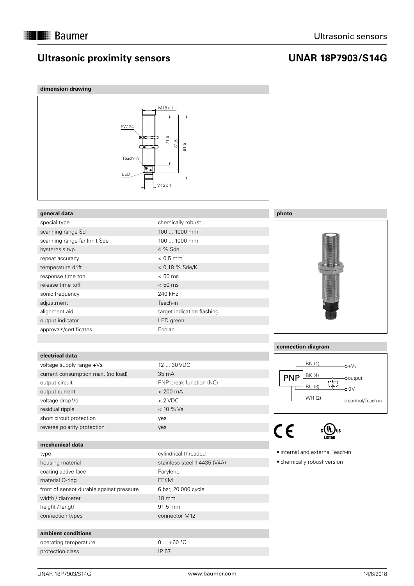# **Ultrasonic proximity sensors**

# **UNAR 18P7903/S14G**





## **general data**

| special type                 | chemically robust          |
|------------------------------|----------------------------|
| scanning range Sd            | 100  1000 mm               |
| scanning range far limit Sde | 100  1000 mm               |
| hysteresis typ.              | 4 % Sde                    |
| repeat accuracy              | $< 0.5$ mm                 |
| temperature drift            | $< 0.18$ % Sde/K           |
| response time ton            | $< 50$ ms                  |
| release time toff            | $< 50$ ms                  |
| sonic frequency              | 240 kHz                    |
| adjustment                   | Teach-in                   |
| alignment aid                | target indication flashing |
| output indicator             | LED green                  |
| approvals/certificates       | Ecolab                     |

## **electrical data**

| voltage supply range +Vs           | 12 <sub>1</sub> |
|------------------------------------|-----------------|
| current consumption max. (no load) | 35 <sub>1</sub> |
| output circuit                     | PNI             |
| output current                     | $<$ 2           |
| voltage drop Vd                    | $\lt 2$         |
| residual ripple                    | $<$ 1           |
| short circuit protection           | yes             |
| reverse polarity protection        | ves             |

### **mechanical data**

| type                                     |
|------------------------------------------|
| housing material                         |
| coating active face                      |
| material O-ring                          |
| front of sensor durable against pressure |
| width / diameter                         |
| height / length                          |
| connection types                         |

#### **ambient conditions**

operating temperature  $0 ... +60 °C$ protection class IP 67

# 12 ... 30 VDC 35 mA PNP break function (NC)  $<$  200 mA  $< 2$  VDC  $< 10 %$  Vs

cylindrical threaded stainless steel 1.4435 (V4A)

6 bar, 20'000 cycle

Parylene FFKM

18 mm 91,5 mm connector M12 **photo**



## **connection diagram**



 $C<sub>f</sub>$ 



 internal and external Teach-in

 chemically robust version